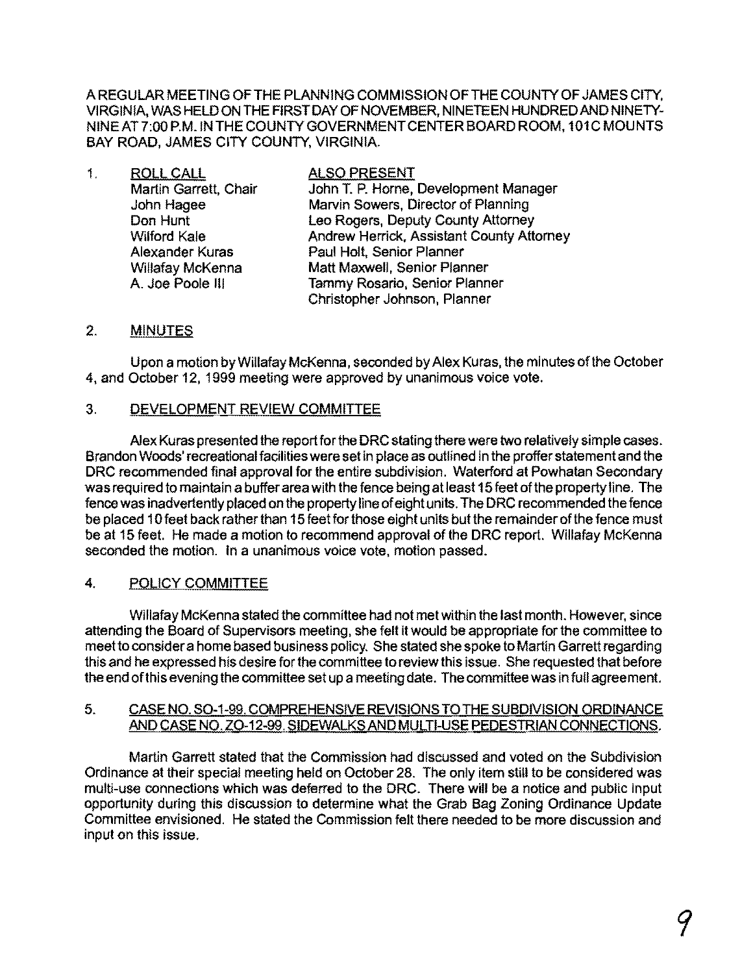A REGULAR MEETING OFTHE PLANNING COMMISSION OFTHE COUNTY OF JAMES CITY, VIRGINIA, WAS HELD ON **THE** FIRST DAY OF NOVEMBER, NINETEEN HUNDRED AND NINETY-NINE AT 7:00 P.M. IN **THE** COUNTY GOVERNMENTCENTER BOARD ROOM, 101C MOUNTS BAY ROAD, JAMES CITY COUNTY, VIRGINIA.

| 1. | <b>ROLL CALL</b>      | <b>ALSO PRESENT</b>                       |
|----|-----------------------|-------------------------------------------|
|    | Martin Garrett, Chair | John T. P. Horne, Development Manager     |
|    | John Hagee            | Marvin Sowers, Director of Planning       |
|    | Don Hunt              | Leo Rogers, Deputy County Attorney        |
|    | <b>Wilford Kale</b>   | Andrew Herrick, Assistant County Attorney |
|    | Alexander Kuras       | Paul Holt, Senior Planner                 |
|    | Willafay McKenna      | Matt Maxwell, Senior Planner              |
|    | A. Joe Poole III      | Tammy Rosario, Senior Planner             |
|    |                       | Christopher Johnson, Planner              |

## 2. MINUTES

Upon a motion byWillafay McKenna, seconded by Alex Kuras, the minutes ofthe October 4, and October 12, 1999 meeting were approved by unanimous voice vote.

## 3. DEVELOPMENT REVIEW COMMITTEE

Alex Kuras presented the report for the DRC stating there were two relatively simple cases. Brandon Woods' recreational facilities were set in place as outlined in the proffer statement and the DRC recommended final approval for the entire subdivision. Waterford at Powhatan Secondary was required to maintain a buffer area with the fence being at least 15 feet of the property line. The fence was inadvertently placed on the property line ofeight units. The DRC recommended the fence be placed 10 feet back rather than 15 feet for those eight units but the remainder of the fence must be at 15 feet. He made a motion to recommend approval of the DRC report. Willafay McKenna seconded the motion. In a unanimous voice vote, motion passed.

# 4. POLICY COMMITTEE

Willafay McKenna stated the committee had not met within the last month. However, since attending the Board of Supervisors meeting, she felt it would be appropriate for the committee to meet to consider a home based business policy. She stated she spoke to Martin Garrett regarding this and he expressed his desire for the committee to review this issue. She requested that before the end ofthis evening the committee set up a meeting date. The committee was in full agreement.

### 5. CASE NO. SO-1-99. COMPREHENSIVE REVISIONS TO THE SUBDIVISION ORDINANCE AND CASE NO. ZO-12-99. SIDEWALKS AND MULTI-USE PEDESTRIAN CONNECTIONS.

Martin Garrett stated that the Commission had discussed and voted on the Subdivision Ordinance at their special meeting held on October 28. The only item still to be considered was multi-use connections which was deferred to the DRC. There will be a notice and public input opportunity during this discussion to determine what the Grab Bag Zoning Ordinance Update Committee envisioned. He stated the Commission felt there needed to be more discussion and input on this issue.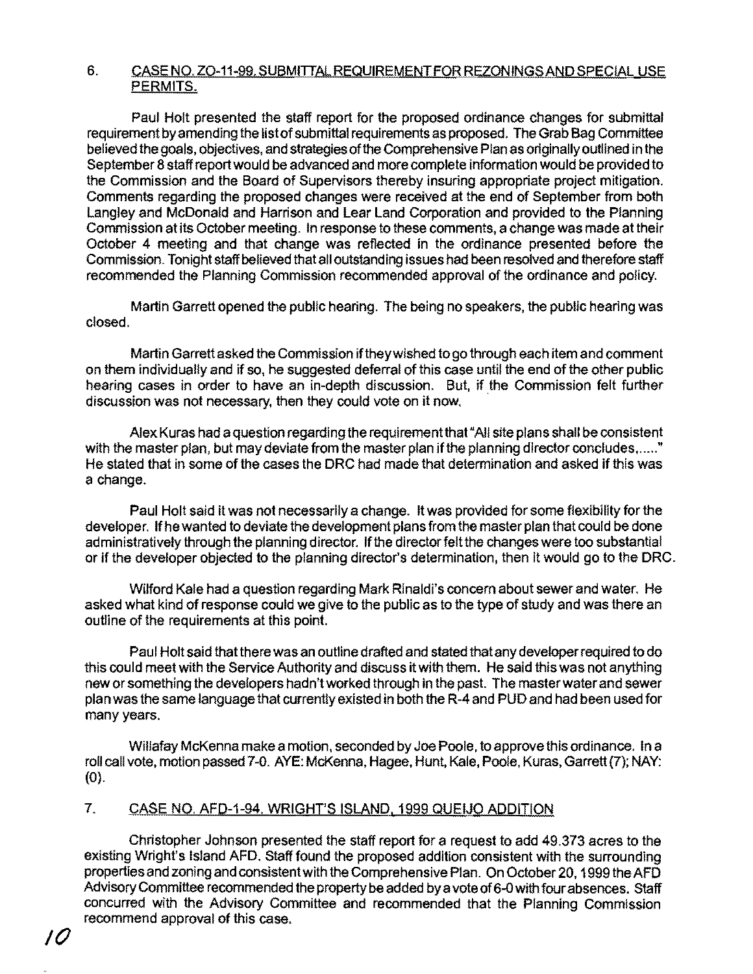### 6. CASE NO. ZO-11-99. SUBMITTAL REQUIREMENT FOR REZONINGS AND SPECIAL USE PERMITS.

Paul Holt presented the staff report for the proposed ordinance changes for submittal requirement by amending the list of submittal requirements as proposed. The Grab Bag Committee believed the goals, objectives, and strategies of the Comprehensive Plan as originally outlined in the September 8 staff report would be advanced and more complete information would be provided to the Commission and the Board of Supervisors thereby insuring appropriate project mitigation. Comments regarding the proposed changes were received at the end of September from both Langley and McDonald and Harrison and Lear Land Corporation and provided to the Planning Commission at its October meeting. In response to these comments, a change was made at their October 4 meeting and that change was reflected in the ordinance presented before the Commission. Tonight staff believed that all outstanding issues had been resolved and therefore staff recommended the Planning Commission recommended approval of the ordinance and policy.

Martin Garrett opened the public hearing. The being no speakers, the public hearing was closed.

Martin Garrett asked the Commission ifthey wished to go through each item and comment on them individually and if so, he suggested deferral of this case until the end of the other public hearing cases in order to have an in-depth discussion. But, if the Commission felt further discussion was not necessary, then they could vote on it now.

Alex Kuras had a question regarding the requirement that "All site plans shall be consistent with the master plan, but may deviate from the master plan if the planning director concludes, ....." He stated that in some of the cases the DRC had made that determination and asked if this was a change.

Paul Holt said it was not necessarily a change. It was provided for some flexibility for the developer. Ifhe wanted to deviate the development plans from the master plan that could be done administratively through the planning director. If the director felt the changes were too substantial or if the developer objected to the planning director's determination, then it would go to the DRC.

Wilford Kale had a question regarding Mark Rinaldi's concem about sewer and water. He asked what kind of response could we give to the public as to the type of study and was there an outline of the requirements at this point.

Paul Holt said that there was an outline drafted and stated that any developer required to do this could meet with the Service Authority and discuss it with them. He said this was not anything new or something the developers hadn't worked through in the past. The master water and sewer plan was the same language that currently existed in both the R-4 and PUD and had been used for many years.

Willafay McKenna make a motion, seconded by Joe Poole, to approve this ordinance. In a roll call vote, motion passed 7-0. AYE: McKenna, Hagee, Hunt, Kale, Poole, Kuras, Garrett (7); NAY: (0).

## 7. CASE NO. AFD-1-94. WRIGHT'S ISLAND, 1999 QUEIJO ADDITION

Christopher Johnson presented the staff report for a request to add 49.373 acres to the existing Wright's Island AFD. Staff found the proposed addition consistent with the surrounding properties and zoning and consistent with the Comprehensive Plan. On October 20, 1999 the AFD Advisory Committee recommended the property be added bya vote of 6-0 with four absences. Staff concurred with the Advisory Committee and recommended that the Planning Commission recommend approval of this case.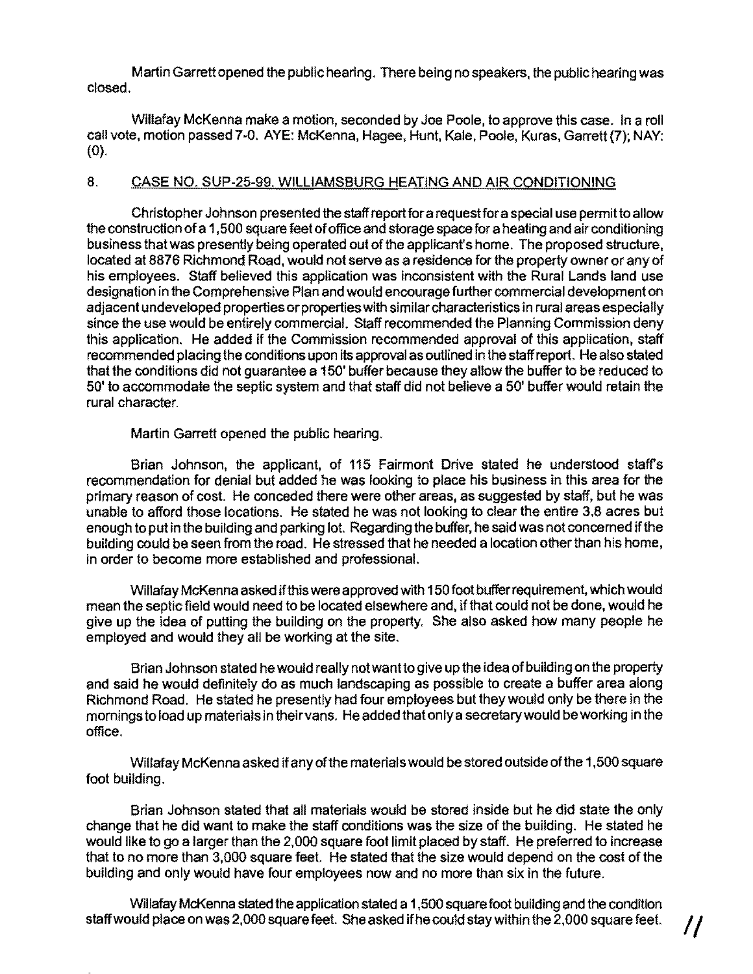Martin Garrett opened the public hearing. There being no speakers, the public hearing was closed.

Willafay McKenna make a motion, seconded by Joe Poole, to approve this case. In a roll call vote, motion passed 7-0. AYE: McKenna, Hagee, Hunt, Kale, Poole, Kuras, Garrett (7); NAY: (0).

## 8. CASE NO. SUP-25-99. WILLIAMSBURG HEATING AND AIR CONDITIONING

Christopher Johnson presented the staff report for a requestfor a special use permit to allow the construction ofa 1 ,500 square feet ofoffice and storage space for a heating and air conditioning business that was presently being operated out of the applicant's home. The proposed structure, located at 8876 Richmond Road, would not serve as a residence for the property owner or any of his employees. Staff believed this application was inconsistent with the Rural Lands land use designation in the Comprehensive Plan and would encourage further commercial development on adjacent undeveloped properties orproperties with similar characteristics in rural areas especially since the use would be entirely commercial. Staff recommended the Planning Commission deny this application. He added if the Commission recommended approval of this application, staff recommended placing the conditions upon its approval as outlined in the staff report. Healso stated that the conditions did not guarantee a 150' buffer because they allow the buffer to be reduced to 50' to accommodate the septic system and that staff did not believe a 50' buffer would retain the rural character.

Martin Garrett opened the public hearing.

Brian Johnson, the applicant, of 115 Fairmont Drive stated he understood staffs recommendation for denial but added he was looking to place his business in this area for the primary reason of cost. He conceded there were other areas, as suggested by staff, but he was unable to afford those locations. He stated he was not looking to clear the entire 3.8 acres but enough to put in the building and parking lot. Regarding the buffer, he said was not concemed ifthe building could be seen from the road. He stressed that he needed a location otherthan his home, in order to become more established and professional.

Willafay McKenna asked ifthis were approved with 150footbuffer requirement, which would mean the septic field would need to be located elsewhere and, ifthat could not be done, would he give up the idea of putting the building on the property. She also asked how many people he employed and would they all be working at the site.

Brian Johnson stated he would really not want to give up the idea ofbuilding on the property and said he would definitely do as much landscaping as possible to create a buffer area along Richmond Road. He stated he presently had four employees but they would only be there in the mornings to load up materials in their vans. He added thatonlya secretary would be working in the office.

Willafay McKenna asked ifany ofthe materials would be stored outside ofthe 1,500 square foot building.

Brian Johnson stated that all materials would be stored inside but he did state the only change that he did want to make the staff conditions was the size of the building. He stated he would like to go a larger than the 2,000 square foot limit placed by staff. He preferred to increase that to no more than 3,000 square feet. He stated that the size would depend on the cost of the building and only would have four employees now and no more than six in the future.

Willafay McKenna stated the application stated a 1,500 square foot building and the condition staff would place on was 2,000 square feet. She asked if he could stay within the 2,000 square feet.  $\qquad$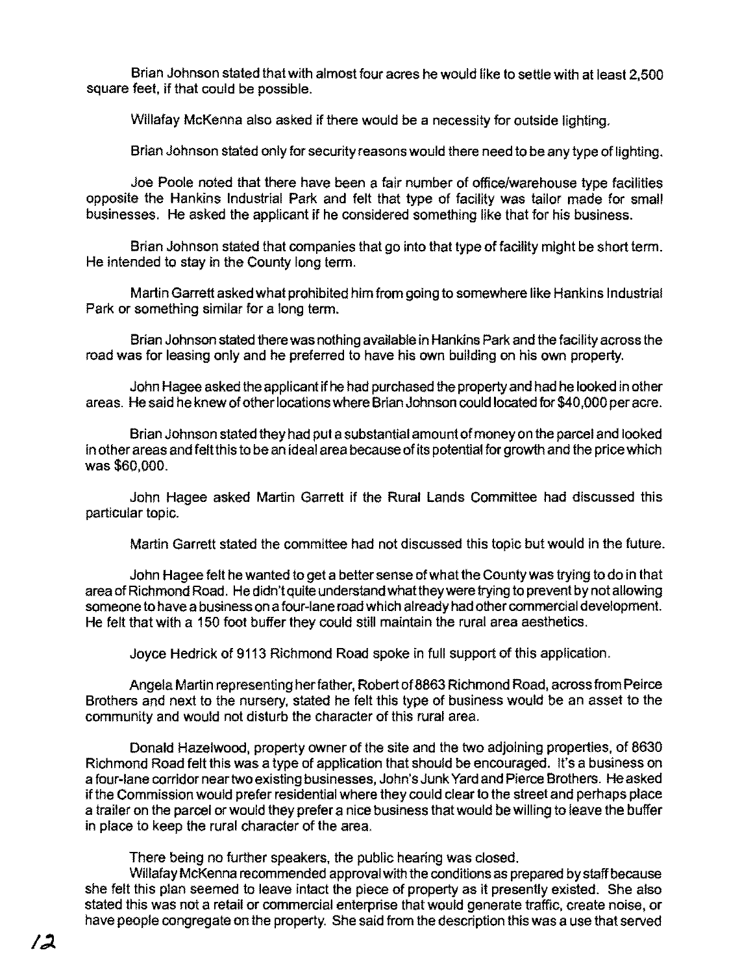Brian Johnson stated that with almost four acres he would like to settle with at least 2,500 square feet, if that could be possible.

Willafay McKenna also asked if there would be a necessity for outside lighting.

Brian Johnson stated only for security reasons would there need to be any type of lighting.

Joe Poole noted that there have been a fair number of office/warehouse type facilities opposite the Hankins Industrial Park and felt that type of facility was tailor made for small businesses. He asked the applicant if he considered something like that for his business.

Brian Johnson stated that companies that go into that type of facility might be short term. He intended to stay in the County long term.

Martin Garrett asked what prohibited him from going to somewhere like Hankins Industrial Park or something similar for a long term.

Brian Johnson stated there was nothing available in Hankins Park and the facility across the road was for leasing only and he preferred to have his own building on his own property.

John Hagee asked the applicant if he had purchased the property and had he looked in other areas. He said he knew of other locations where Brian Johnson could located for \$40,000 per acre.

Brian Johnson stated they had put a substantial amount of money on the parcel and looked in other areas and feltthis to be an ideal area because of its potential for growth and the price which was \$60,000.

John Hagee asked Martin Garrett if the Rural Lands Committee had discussed this particular topic.

Martin Garrett stated the committee had not discussed this topic but would in the future.

John Hagee felt he wanted to get a better sense of what the County was trying to do in that area of Richmond Road. He didn't quite understand what they were trying to prevent by not allowing someone to have a business on a four-lane road which already had other commercial development. He felt that with a 150 foot buffer they could still maintain the rural area aesthetics.

Joyce Hedrick of 9113 Richmond Road spoke in full support of this application.

Angela Martin representing her father, Robert of 8863 Richmond Road, across from Peirce Brothers and next to the nursery, stated he felt this type of business would be an asset to the community and would not disturb the character of this rural area.

Donald Hazelwood, property owner of the site and the two adjoining properties, of 8630 Richmond Road felt this was a type of application that should be encouraged. It's a business on a four-lane corridor near two existing businesses, John's Junk Yard and Pierce Brothers. Heasked if the Commission would prefer residential where they could clear to the street and perhaps place a trailer on the parcel or would they prefer a nice business that would be willing to leave the buffer in place to keep the rural character of the area.

There being no further speakers, the public hearing was closed.

Willafay McKenna recommended approval with the conditions as prepared by staff because she felt this plan seemed to leave intact the piece of property as it presently existed. She also stated this was not a retail or commercial enterprise that would generate traffic, create noise, or have people congregate on the property. She said from the description this was a use that served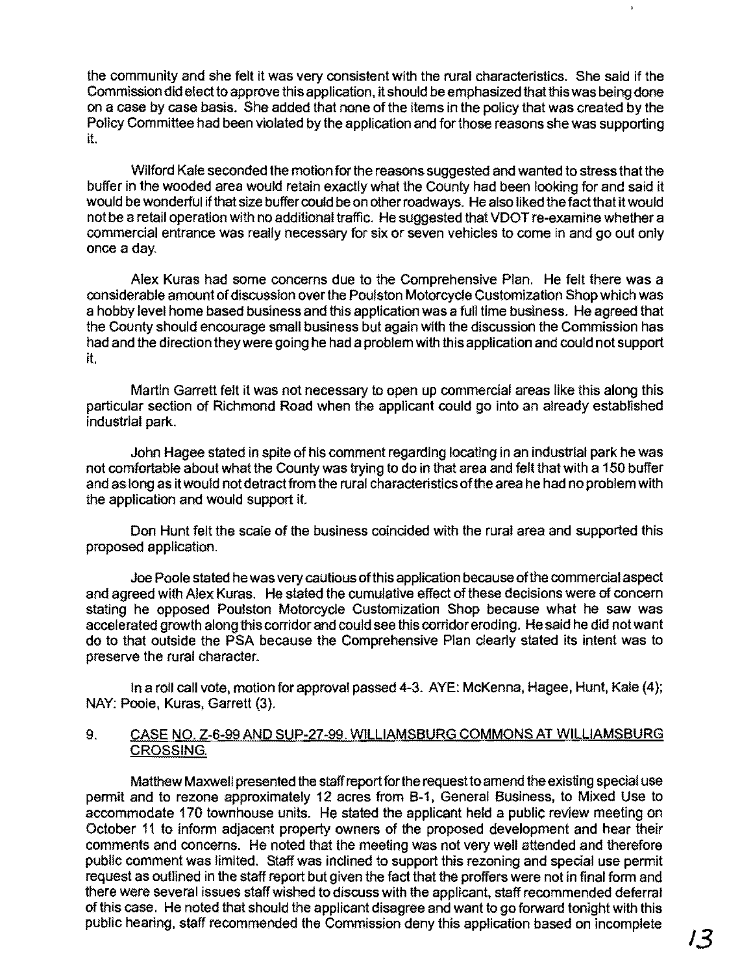the community and she felt it was very consistent with the rural characteristics. She said if the Commission did elect to approve this application, it should be emphasized that this was being done on a case by case basis. She added that none of the items in the policy that was created by the Policy Committee had been violated by the application and for those reasons she was supporting it.

Wilford Kale seconded the motion for the reasons suggested and wanted to stress that the buffer in the wooded area would retain exactly what the County had been looking for and said it would be wonderful if that size buffer could be on other roadways. He also liked the fact that it would not be a retail operation with no additional traffic. He suggested that VDOT re-examine whether a commercial entrance was really necessary for six or seven vehicles to come in and go out only once a day.

Alex Kuras had some concerns due to the Comprehensive Plan. He felt there was a considerable amount ofdiscussion over the Poulston Motorcycle Customization Shop which was a hobby level home based business and this application was a full time business. He agreed that the County should encourage small business but again with the discussion the Commission has had and the direction they were going he had a problem with this application and could not support it.

Martin Garrett felt it was not necessary to open up commercial areas like this along this particular section of Richmond Road when the applicant could go into an already established industrial park.

John Hagee stated in spite of his comment regarding locating in an industrial park he was not comfortable about what the County was trying to do in that area and felt that with a 150 buffer and as long as it would not detract from the rural characteristics ofthe area he had no problem with the application and would support it.

Don Hunt felt the scale of the business coincided with the rural area and supported this proposed application.

Joe Poole stated he was very cautious ofthis application because ofthe commercial aspect and agreed with Alex Kuras. He stated the cumulative effect of these decisions were of concern stating he opposed Poulston Motorcycle Customization Shop because what he saw was accelerated growth along this corridor and could see this corridor eroding. He said he did not want do to that outside the PSA because the Comprehensive Plan clearly stated its intent was to preserve the rural character.

In a roll call vote, motion for approval passed 4-3. AYE: McKenna, Hagee, Hunt, Kale (4); NAY: Poole, Kuras, Garrett (3).

#### 9. CASE NO. Z-6-99 AND SUP-27-99. WILLIAMSBURG COMMONS AT WILLIAMSBURG CROSSING.

Matthew Maxwell presented the staff report for the request to amend the existing special use permit and to rezone approximately 12 acres from B-1. General Business. to Mixed Use to accommodate 170 townhouse units. He stated the applicant held a public review meeting on October 11 to inform adjacent property owners of the proposed development and hear their comments and concerns. He noted that the meeting was not very well attended and therefore public comment was limited. Staff was inclined to support this rezoning and special use permit request as outlined in the staff report but given the fact that the proffers were not in final form and there were several issues staff wished to discuss with the applicant, staff recommended deferral of this case. He noted that should the applicant disagree and want to go forward tonight with this public hearing. staff recommended the Commission deny this application based on incomplete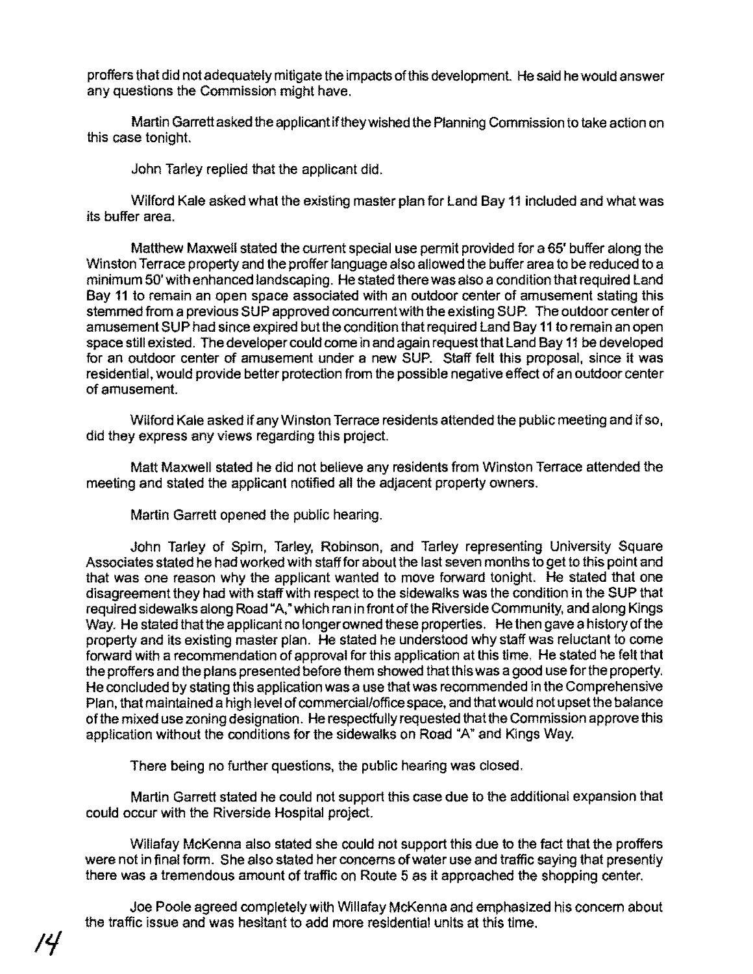proffers that did not adequately mitigate the impacts of this development. He said he would answer any questions the Commission might have.

Martin Garrett asked the applicant if they wished the Planning Commission to take action on this case tonight.

John Tarley replied that the applicant did.

Wilford Kale asked what the existing master plan for Land Bay 11 included and what was its buffer area.

Matthew Maxwell stated the current special use permit provided for a 65' buffer along the Winston Terrace property and the proffer language also allowed the buffer area to be reduced to a minimum 50' with enhanced landscaping. He stated there was also a condition that required Land Bay 11 to remain an open space associated with an outdoor center of amusement stating this stemmed from a previous SUP approved concurrent with the existing SUP. The outdoor center of amusement SUP had since expired but the condition that required Land Bay **11** to remain an open space still existed. The developer could come in and again request that Land Bay 11 be developed for an outdoor center of amusement under a new SUP. Staff felt this proposal, since it was residential, would provide better protection from the possible negative effect of an outdoor center of amusement.

Wilford Kale asked if any Winston Terrace residents attended the public meeting and if so, did they express any views regarding this project.

Malt Maxwell stated he did not believe any residents from Winston Terrace attended the meeting and stated the applicant notified all the adjacent property owners.

Martin Garrett opened the public hearing.

John Tarley of Spim, Tarley, Robinson, and Tarley representing University Square Associates stated he had worked with staff for about the last seven months to get to this point and that was one reason why the applicant wanted to move forward tonight. He stated that one disagreement they had with staff with respect to the sidewalks was the condition in the SUP that required sidewalks along Road "A," which ran in front of the Riverside Community, and along Kings Way. He stated that the applicant no longer owned these properties. He then gave a history of the property and its existing master plan. He stated he understood why staff was reluctant to come forward with a recommendation of approval for this application at this time. He stated he felt that the proffers and the plans presented before them showed that this was agood use for the property. He concluded by stating this application was a use that was recommended in the Comprehensive Plan, that maintained a high level of commercial/office space, and that would not upset the balance of the mixed use zoning designation. He respectfully requested that the Commission approve this application without the conditions for the sidewalks on Road "A" and Kings Way.

There being no further questions, the public hearing was closed.

Martin Garrett stated he could not support this case due to the additional expansion that could occur with the Riverside Hospital project.

Willafay McKenna also stated she could not support this due to the fact that the proffers were not in final form. She also stated her concerns of water use and traffic saying that presently there was a tremendous amount of traffic on Route 5 as it approached the shopping center.

Joe Poole agreed completely with Willafay McKenna and emphasized his concern about the traffic issue and was hesitant to add more residential units at this time.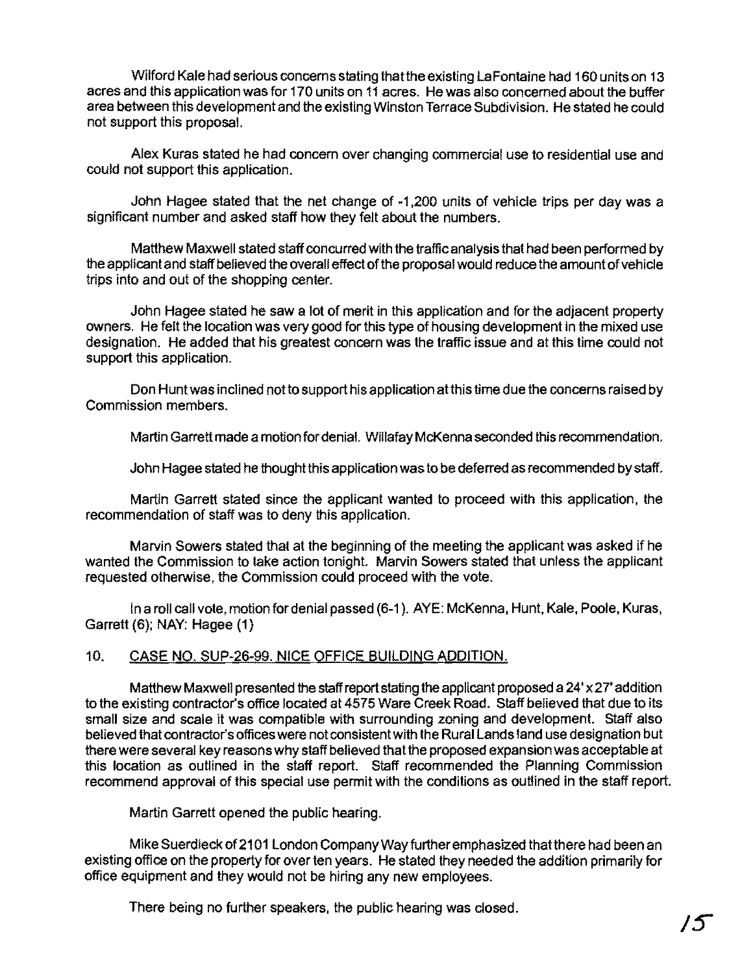Wilford Kale had serious concems stating thatthe existing laFontaine had 160 units on 13 acres and this application was for 170 units on 11 acres. He was also concemed about the buffer area between this development and the existing Winston Terrace Subdivision. He stated he could not support this proposal.

Alex Kuras stated he had concem over changing commercial use to residential use and could not support this application.

John Hagee stated that the net change of -1,200 units of vehicle trips per day was a significant number and asked staff how they felt about the numbers.

Matthew Maxwell stated staff concurred with the traffic analysis that had been performed by the applicant and staff believed the overall effect of the proposal would reduce the amount of vehicle trips into and out of the shopping center.

John Hagee stated he saw a lot of merit in this application and for the adjacent property owners. He felt the location was very good for this type of housing development In the mixed use designation. He added that his greatest concern was the traffic issue and at this time could not support this application.

Don Hunt was inclined not to support his application at this time due the concerns raised by Commission members.

Martin Garrett made a motion for denial. Willafay McKenna seconded this recommendation.

John Hagee stated he thoughtthis application was to be deferred as recommended by staff.

Martin Garrett stated since the applicant wanted to proceed with this application, the recommendation of staff was to deny this application.

Marvin Sowers stated that at the beginning of the meeting the applicant was asked if he wanted the Commission to take action tonight. Marvin Sowers stated that unless the applicant requested otherwise, the Commission could proceed with the vote.

In a roll call vote, motion for denial passed (6-1). AYE: McKenna, Hunt, Kale, Poole, Kuras, Garrett (6); NAY: Hagee (1)

# 10. CASE NO. SUP-26-99. NICE OFFICE BUILDING ADDITION.

Matthew Maxwell presented the staff report stating the applicant proposed a  $24' \times 27'$  addition to the existing contractor's office located at 4575 Ware Creek Road. Staff believed that due to its small size and scale it was compatible with surrounding zoning and development. Staff also believed that contractor's offices were not consistent with the Rural Lands land use designation but there were several key reasons why staff believed that the proposed expansion was acceptable at this location as outlined in the staff report. Staff recommended the Planning Commission recommend approval of this special use permit with the conditions as outlined in the staff report.

Martin Garrett opened the public hearing.

Mike Suerdieck of 2101 London Company Way further emphasized that there had been an existing office on the property for over ten years. He stated they needed the addition primarily for office eqUipment and they would not be hiring any new employees.

There being no further speakers, the public hearing was closed.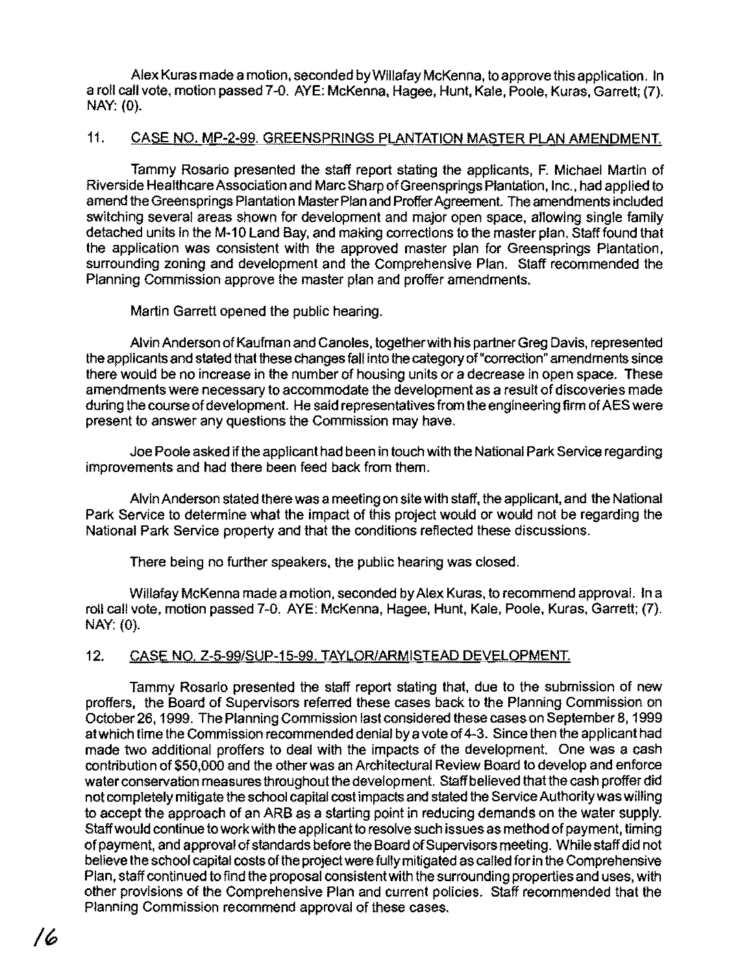Alex Kuras made a motion. seconded by Willafay McKenna. to approve this application. In a roll call vote, motion passed 7-0. AYE: McKenna. Hagee. Hunt. Kale. Poole, Kuras, Garrett; (7). NAY: (0).

## 11. CASE NO. MP-2-99. GREENSPRINGS PLANTATION MASTER PLAN AMENDMENT.

Tammy Rosario presented the staff report stating the applicants, F. Michael Martin of Riverside Healthcare Association and Marc Sharp ofGreen springs Plantation, Inc., had applied to amend the Greensprings Plantation Master Plan and Proffer Agreement. The amendments included switching several areas shown for development and major open space, allowing single family detached units in the M-10 Land Bay, and making corrections to the master plan. Staff found that the application was consistent with the approved master plan for Greensprings Plantation, surrounding zoning and development and the Comprehensive Plan. Staff recommended the Planning Commission approve the master plan and proffer amendments.

Martin Garrett opened the public hearing.

Alvin Anderson ofKaufman and Canoles, together with his partner Greg Davis, represented the applicants and stated that these changes fall into the category of"correction" amendments since there would be no increase in the number of housing units or a decrease in open space. These amendments were necessary to accommodate the development as a result of discoveries made during the course of development. He said representatives from the engineering firm of AES were present to answer any questions the Commission may have.

Joe Poole asked if the applicant had been in touch with the National Park Service regarding improvements and had there been feed back from them.

Alvin Anderson stated there was a meeting on site with staff, the applicant, and the National Park Service to determine what the impact of this project would or would not be regarding the National Park Service property and that the conditions reflected these discussions.

There being no further speakers, the public hearing was closed.

Willafay McKenna made a motion, seconded byAlex Kuras. to recommend approval. In a roll call vote, motion passed 7-0. AYE: McKenna, Hagee. Hunt. Kale, Poole, Kuras, Garrett; (7). NAY: (0).

# 12. CASE NO. Z-5-99/SUP-15-99. TAYLOR/ARMISTEAD DEVELOPMENT.

Tammy Rosario presented the staff report stating that. due to the submission of new proffers. the Board of Supervisors referred these cases back to the Planning Commission on October 26, 1999. The Planning Commission last considered these cases on September 8, 1999 atwhich time the Commission recommended denial by a vote of4-3. Since then the applicant had made two additional proffers to deal with the impacts of the development. One was a cash contribution of \$50,000 and the other was an Architectural Review Board to develop and enforce water conservation measures throughout the development. Staff believed that the cash proffer did not completely mitigate the school capital cost impacts and stated the Service Authoritywas willing to accept the approach of an ARB as a starting point in reducing demands on the water supply. Staff would continue to work with the applicant to resolve such issues as method of payment, timing of payment, and approval of standards before the Board of Supervisors meeting. While staff did not believe the school capital costs of the project were fully mitigated as called for in the Comprehensive Plan, staff continued to find the proposal consistent with the surrounding properties and uses. with other provisions of the Comprehensive Plan and current policies. Staff recommended that the Planning Commission recommend approval of these cases.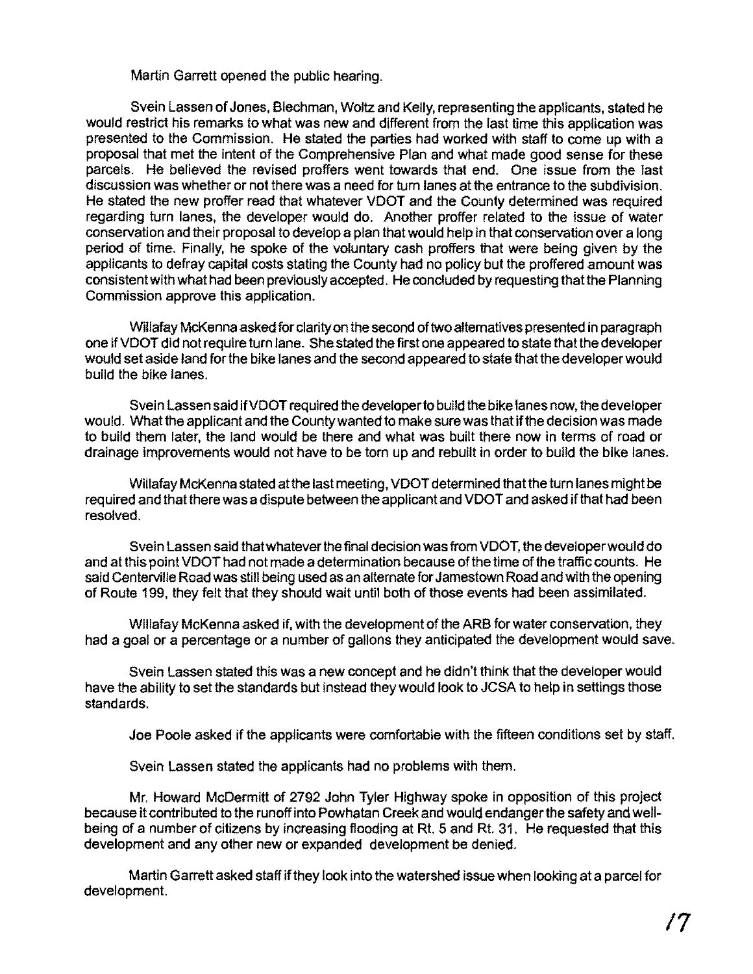Martin Garrett opened the public hearing.

Svein Lassen of Jones, Blechman, Woltz and Kelly, representing the applicants, stated he would restrict his remarks to what was new and different from the last time this application was presented to the Commission. He stated the parties had worked with staff to come up with a proposal that met the intent of the Comprehensive Plan and what made good sense for these parcels. He believed the revised proffers went towards that end. One issue from the last discussion was whether or not there was a need for turn lanes at the entrance to the subdivision. He stated the new proffer read that whatever VDOT and the County determined was required regarding turn lanes, the developer would do. Another proffer related to the issue of water conservation and their proposal to develop a plan that would help in that conservation over a long period of time. Finally, he spoke of the voluntary cash proffers that were being given by the applicants to defray capital costs stating the County had no policy but the proffered amount was consistent with what had been previously accepted. He concluded by requesting that the Planning Commission approve this application.

WiUafay McKenna asked for clarity on the second oftwo alternatives presented in paragraph one ifVDOT did not require turn lane. She stated the first one appeared to state that the developer would set aside land for the bike lanes and the second appeared to state thatthe developer would build the bike lanes.

Svein Lassen said ifVDOT required thedeveloperto build the bike lanes now, the developer would. What the applicant and the County wanted to make sure was that if the decision was made to build them later, the land would be there and what was built there now in terms of road or drainage improvements would not have to be torn up and rebuilt in order to build the bike lanes.

Willafay McKenna stated at the last meeting, VDOT determined that the turn lanes might be required and thatthere was a dispute between the applicant and VDOT and asked ifthat had been resolved.

Svein Lassen said that whatever the final decision was from VDOT, the developer would do and at this point VDOT had not made a determination because of the time of the traffic counts. He said Centerville Road was still being used as an alternate for Jamestown Road and with the opening of Route 199, they felt that they should wait until both of those events had been assimilated.

Willafay McKenna asked if, with the development of the ARB for water conservation, they had a goal or a percentage or a number of gallons they anticipated the development would save.

Svein Lassen stated this was a new concept and he didn't think that the developer would have the ability to set the standards but instead they would look to JCSA to help in settings those standards.

Joe Poole asked if the applicants were comfortable with the fifteen conditions set by staff.

Svein Lassen stated the applicants had no problems with them.

Mr. Howard McDermitt of 2792 John Tyler Highway spoke in opposition of this project because it contributed to the runoff into Powhatan Creek and would endanger the safety and wellbeing of a number of citizens by increasing flooding at Rt. 5 and Rt. 31. He requested that this development and any other new or expanded development be denied.

Martin Garrett asked staff ifthey look into the watershed issue when looking at a parcel for development.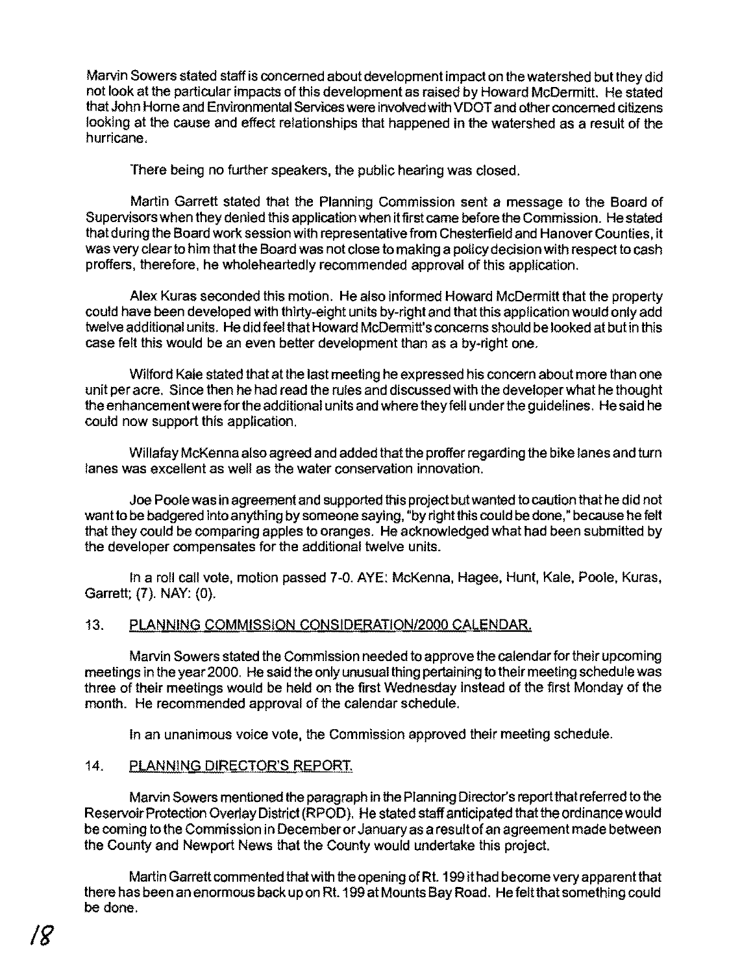Marvin Sowers stated staff is concemed about development impact on the watershed but they did not look at the particular impacts of this development as raised by Howard McDermitt. He stated that John Home and Environmental Services were involvedwith VDOT and other concerned citizens looking at the cause and effect relationships that happened in the watershed as a result of the hurricane.

There being no further speakers, the public hearing was closed.

Martin Garrett stated that the Planning Commission sent a message to the Board of Supervisors when they denied this application when it first came before the Commission. He stated that during the Board work session with representative from Chesterfield and Hanover Counties, it was very clearto him that the Board was not close to making a policy decision with respect to cash proffers, therefore, he wholeheartedly recommended approval of this application.

Alex Kuras seconded this motion. He also informed Howard McDermitt that the property could have been developed with thirty-eight units by-right and that this application would only add twelve additional units. He did feel that Howard McDermitt's concems should be looked at but in this case felt this would be an even better development than as a by-right one.

Wilford Kale stated that at the last meeting he expressed his concem about more than one unit per acre. Since then he had read the rules and discussed with the developer what he thought the enhancement were forthe additional units and where they fell under the guidelines. He said he could now support this application.

Willafay McKenna also agreed and added that the proffer regarding the bike lanes and tum lanes was excellent as well as the water conservation innovation.

Joe Poole was in agreement and supported this project but wanted to caution that he did not want to be badgered into anything by someone saying, "by right this could be done," because he felt that they could be comparing apples to oranges. He acknowledged what had been submitted by the developer compensates for the additional twelve units.

In a roll call vote, motion passed 7-0. AYE: McKenna, Hagee, Hunt, Kale, Poole, Kuras, Garrett; (7). NAY: (0).

# 13. PLANNING COMMISSION CONSIDERATION/2000 CALENDAR.

Marvin Sowers stated the Commission needed to approve the calendar for their upcoming meetings in the year 2000. He said the only unusual thing pertaining to their meeting schedule was three of their meetings would be held on the first Wednesday instead of the first Monday of the month. He recommended approval of the calendar schedule.

In an unanimous voice vote, the Commission approved their meeting schedule.

# 14. PLANNING DIRECTOR'S REPORT.

Marvin Sowers mentioned the paragraph in the Planning Director's report that referred to the Reservoir Protection Overlay District (RPOD). He stated staff anticipated that the ordinance would be coming to the Commission in Decemberor January as a resultof an agreement made between the County and Newport News that the County would undertake this project.

Martin Garrett commented that with the opening of Rt. 199 it had become very apparent that there has been an enormous back up on Rt. 199 at Mounts Bay Road. He fellthat something could be done.